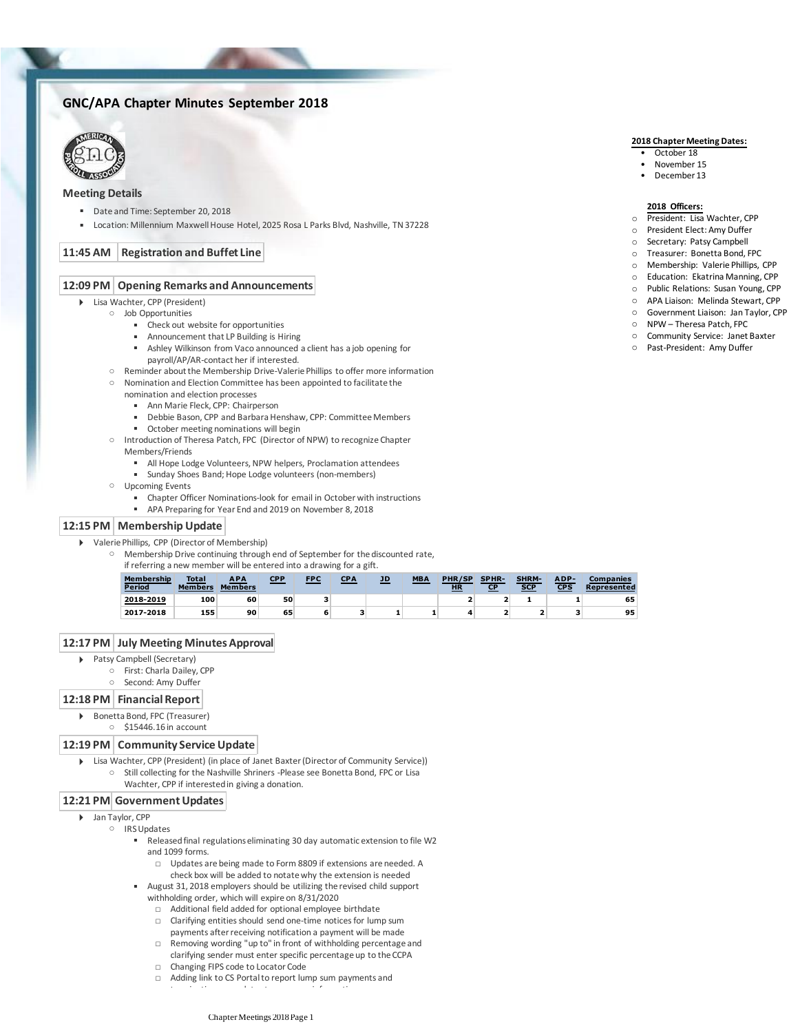# **GNC/APA Chapter Minutes September 2018**



#### **Meeting Details**

- Date and Time: September 20, 2018
- Location: Millennium Maxwell House Hotel, 2025 Rosa L Parks Blvd, Nashville, TN 37228

# **11:45 AM Registration and Buffet Line**

#### **12:09 PM Opening Remarks and Announcements**

- Lisa Wachter, CPP (President)
- Job Opportunities
	- Check out website for opportunities
	- **■** Announcement that LP Building is Hiring
	- Ashley Wilkinson from Vaco announced a client has a job opening for payroll/AP/AR-contact her if interested.
	- Reminder about the Membership Drive-Valerie Phillips to offer more information
	- Nomination and Election Committee has been appointed to facilitate the
		- nomination and election processes
			- Ann Marie Fleck, CPP: Chairperson
			- Debbie Bason, CPP and Barbara Henshaw, CPP: Committee Members
	- October meeting nominations will begin ○ Introduction of Theresa Patch, FPC (Director of NPW) to recognize Chapter Members/Friends
		-
		- **EXECUTERS IN All Hope Lodge Volunteers, NPW helpers, Proclamation attendees**
		- Sunday Shoes Band; Hope Lodge volunteers (non-members)
	- Upcoming Events
		- Chapter Officer Nominations-look for email in October with instructions
		- APA Preparing for Year End and 2019 on November 8, 2018

# **12:15 PM Membership Update**

- Valerie Phillips, CPP (Director of Membership)
	- Membership Drive continuing through end of September for the discounted rate, if referring a new member will be entered into a drawing for a gift.

| Membership<br>Period | <b>Total</b><br><b>Members</b> | <b>APA</b><br><b>Members</b> | <b>CPP</b> | <b>FPC</b> | <b>CPA</b> | <u>JD</u> | <b>MBA</b> | <b>PHR/SP</b><br><b>HR</b> | SPHR-<br><b>CP</b> | <b>SHRM-</b><br><b>SCP</b> | ADP-<br>CPS | <b>Companies</b><br>Represented |
|----------------------|--------------------------------|------------------------------|------------|------------|------------|-----------|------------|----------------------------|--------------------|----------------------------|-------------|---------------------------------|
| 2018-2019            | 100                            | 60                           | 50         |            |            |           |            |                            |                    |                            |             | 65                              |
| 2017-2018            | 155                            | 90                           | 65         |            |            |           |            |                            |                    |                            | -           | 95                              |

#### **12:17 PM July Meeting Minutes Approval**

- Patsy Campbell (Secretary)
	- First: Charla Dailey, CPP
	- Second: Amy Duffer

#### **12:18 PM Financial Report**

- Bonetta Bond, FPC (Treasurer)
- \$15446.16 in account

# **12:19 PM Community Service Update**

○ Still collecting for the Nashville Shriners -Please see Bonetta Bond, FPC or Lisa Wachter, CPP if interested in giving a donation. Lisa Wachter, CPP (President) (in place of Janet Baxter (Director of Community Service))

#### **12:21 PM Government Updates**

- Jan Taylor, CPP
	- ○ IRS Updates
		- Released final regulations eliminating 30 day automatic extension to file W2 and 1099 forms.
			- □ Updates are being made to Form 8809 if extensions are needed. A check box will be added to notate why the extension is needed
		- August 31, 2018 employers should be utilizing the revised child support
			- withholding order, which will expire on 8/31/2020
			- □ Additional field added for optional employee birthdate
			- □ Clarifying entities should send one-time notices for lump sum payments after receiving notification a payment will be made
			- Removing wording "up to" in front of withholding percentage and clarifying sender must enter specific percentage up to the CCPA  $\Box$
			- □ Changing FIPS code to Locator Code
			- □ Adding link to CS Portal to report lump sum payments and terminations or updates to company information

#### **2018 Chapter Meeting Dates:**

- October 18
- November 15
- December 13

#### **2018 Officers:**

- o President: Lisa Wachter, CPP
- o President Elect: Amy Duffer
- o Secretary: Patsy Campbell
- o Treasurer: Bonetta Bond, FPC
- o Membership: Valerie Phillips, CPP
- o Education: Ekatrina Manning, CPP
- o Public Relations: Susan Young, CPP
- o APA Liaison: Melinda Stewart, CPP
- o Government Liaison: Jan Taylor, CPP
- o NPW Theresa Patch, FPC
- o Community Service: Janet Baxter
- o Past-President: Amy Duffer